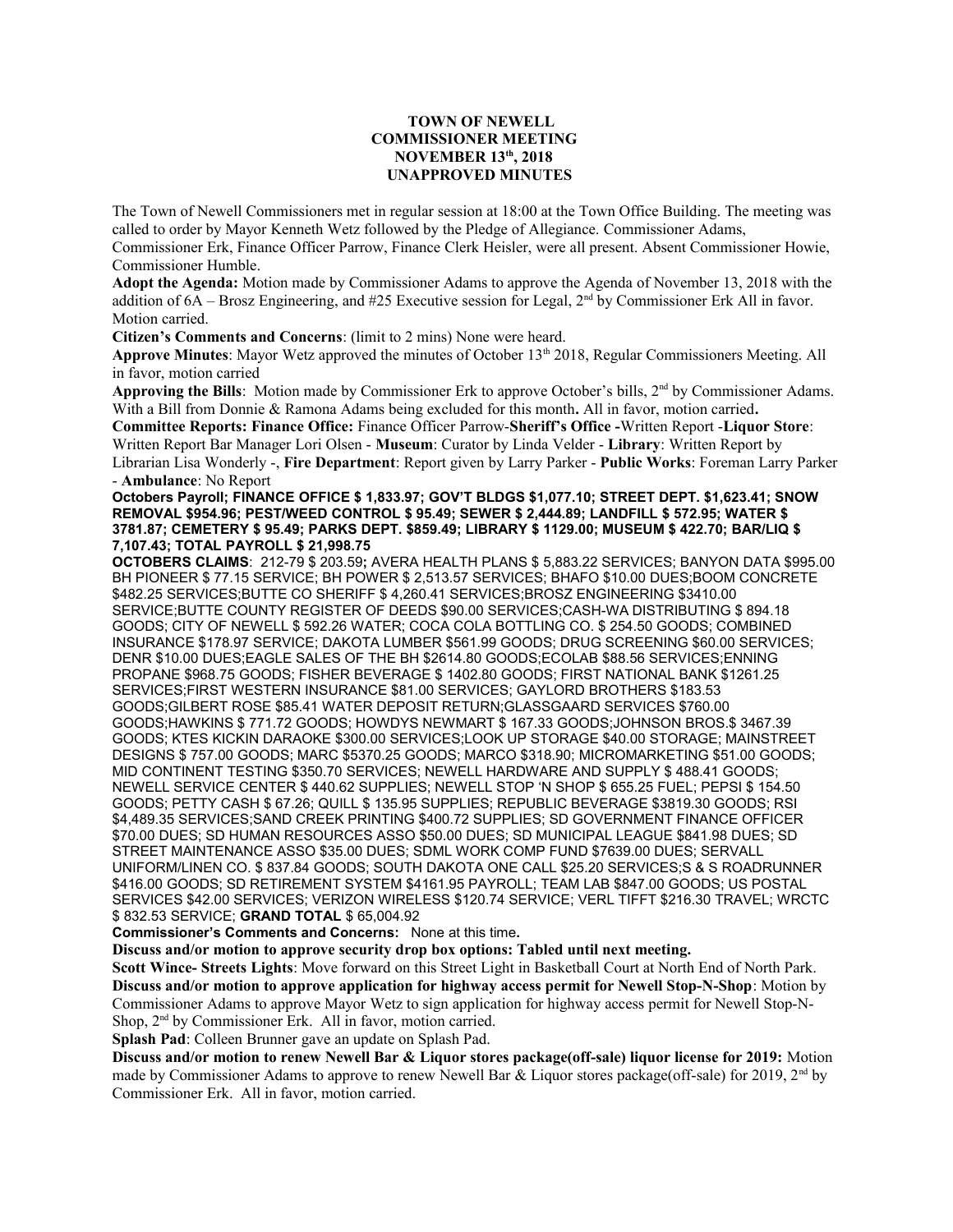## **TOWN OF NEWELL COMMISSIONER MEETING NOVEMBER 13th, 2018 UNAPPROVED MINUTES**

The Town of Newell Commissioners met in regular session at 18:00 at the Town Office Building. The meeting was called to order by Mayor Kenneth Wetz followed by the Pledge of Allegiance. Commissioner Adams, Commissioner Erk, Finance Officer Parrow, Finance Clerk Heisler, were all present. Absent Commissioner Howie, Commissioner Humble.

**Adopt the Agenda:** Motion made by Commissioner Adams to approve the Agenda of November 13, 2018 with the addition of  $6A$  – Brosz Engineering, and #25 Executive session for Legal,  $2<sup>nd</sup>$  by Commissioner Erk All in favor. Motion carried.

**Citizen's Comments and Concerns**: (limit to 2 mins) None were heard.

**Approve Minutes**: Mayor Wetz approved the minutes of October 13th 2018, Regular Commissioners Meeting. All in favor, motion carried

**Approving the Bills**: Motion made by Commissioner Erk to approve October's bills, 2nd by Commissioner Adams. With a Bill from Donnie & Ramona Adams being excluded for this month**.** All in favor, motion carried**.**

**Committee Reports: Finance Office:** Finance Officer Parrow-**Sheriff's Office -**Written Report -**Liquor Store**: Written Report Bar Manager Lori Olsen - **Museum**: Curator by Linda Velder - **Library**: Written Report by

Librarian Lisa Wonderly -, **Fire Department**: Report given by Larry Parker - **Public Works**: Foreman Larry Parker - **Ambulance**: No Report

**Octobers Payroll; FINANCE OFFICE \$ 1,833.97; GOV'T BLDGS \$1,077.10; STREET DEPT. \$1,623.41; SNOW REMOVAL \$954.96; PEST/WEED CONTROL \$ 95.49; SEWER \$ 2,444.89; LANDFILL \$ 572.95; WATER \$ 3781.87; CEMETERY \$ 95.49; PARKS DEPT. \$859.49; LIBRARY \$ 1129.00; MUSEUM \$ 422.70; BAR/LIQ \$ 7,107.43; TOTAL PAYROLL \$ 21,998.75**

**OCTOBERS CLAIMS**: 212-79 \$ 203.59**;** AVERA HEALTH PLANS \$ 5,883.22 SERVICES; BANYON DATA \$995.00 BH PIONEER \$ 77.15 SERVICE; BH POWER \$ 2,513.57 SERVICES; BHAFO \$10.00 DUES;BOOM CONCRETE \$482.25 SERVICES;BUTTE CO SHERIFF \$ 4,260.41 SERVICES;BROSZ ENGINEERING \$3410.00 SERVICE;BUTTE COUNTY REGISTER OF DEEDS \$90.00 SERVICES;CASH-WA DISTRIBUTING \$ 894.18 GOODS; CITY OF NEWELL \$ 592.26 WATER; COCA COLA BOTTLING CO. \$ 254.50 GOODS; COMBINED INSURANCE \$178.97 SERVICE; DAKOTA LUMBER \$561.99 GOODS; DRUG SCREENING \$60.00 SERVICES; DENR \$10.00 DUES;EAGLE SALES OF THE BH \$2614.80 GOODS;ECOLAB \$88.56 SERVICES;ENNING PROPANE \$968.75 GOODS; FISHER BEVERAGE \$ 1402.80 GOODS; FIRST NATIONAL BANK \$1261.25 SERVICES;FIRST WESTERN INSURANCE \$81.00 SERVICES; GAYLORD BROTHERS \$183.53 GOODS;GILBERT ROSE \$85.41 WATER DEPOSIT RETURN;GLASSGAARD SERVICES \$760.00 GOODS;HAWKINS \$ 771.72 GOODS; HOWDYS NEWMART \$ 167.33 GOODS;JOHNSON BROS.\$ 3467.39 GOODS; KTES KICKIN DARAOKE \$300.00 SERVICES;LOOK UP STORAGE \$40.00 STORAGE; MAINSTREET DESIGNS \$ 757.00 GOODS; MARC \$5370.25 GOODS; MARCO \$318.90; MICROMARKETING \$51.00 GOODS; MID CONTINENT TESTING \$350.70 SERVICES; NEWELL HARDWARE AND SUPPLY \$ 488.41 GOODS; NEWELL SERVICE CENTER \$ 440.62 SUPPLIES; NEWELL STOP 'N SHOP \$ 655.25 FUEL; PEPSI \$ 154.50 GOODS; PETTY CASH \$ 67.26; QUILL \$ 135.95 SUPPLIES; REPUBLIC BEVERAGE \$3819.30 GOODS; RSI \$4,489.35 SERVICES;SAND CREEK PRINTING \$400.72 SUPPLIES; SD GOVERNMENT FINANCE OFFICER \$70.00 DUES; SD HUMAN RESOURCES ASSO \$50.00 DUES; SD MUNICIPAL LEAGUE \$841.98 DUES; SD STREET MAINTENANCE ASSO \$35.00 DUES; SDML WORK COMP FUND \$7639.00 DUES; SERVALL UNIFORM/LINEN CO. \$ 837.84 GOODS; SOUTH DAKOTA ONE CALL \$25.20 SERVICES;S & S ROADRUNNER \$416.00 GOODS; SD RETIREMENT SYSTEM \$4161.95 PAYROLL; TEAM LAB \$847.00 GOODS; US POSTAL SERVICES \$42.00 SERVICES; VERIZON WIRELESS \$120.74 SERVICE; VERL TIFFT \$216.30 TRAVEL; WRCTC \$ 832.53 SERVICE; **GRAND TOTAL** \$ 65,004.92

**Commissioner's Comments and Concerns:** None at this time**.** 

**Discuss and/or motion to approve security drop box options: Tabled until next meeting.**

**Scott Wince- Streets Lights**: Move forward on this Street Light in Basketball Court at North End of North Park. **Discuss and/or motion to approve application for highway access permit for Newell Stop-N-Shop**: Motion by Commissioner Adams to approve Mayor Wetz to sign application for highway access permit for Newell Stop-N-Shop, 2<sup>nd</sup> by Commissioner Erk. All in favor, motion carried.

**Splash Pad**: Colleen Brunner gave an update on Splash Pad.

**Discuss and/or motion to renew Newell Bar & Liquor stores package(off-sale) liquor license for 2019:** Motion made by Commissioner Adams to approve to renew Newell Bar & Liquor stores package(off-sale) for 2019,  $2<sup>nd</sup>$  by Commissioner Erk. All in favor, motion carried.